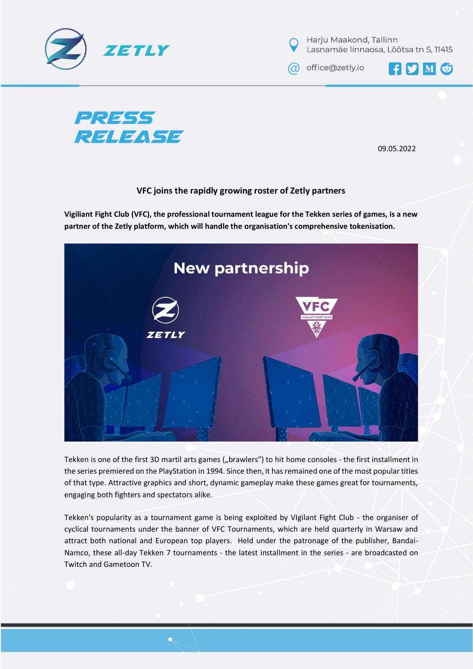



@ office@zetly.io

FYMG



09.05.2022

## **VFC joins the rapidly growing roster of Zetly partners**

**Vigiliant Fight Club (VFC), the professional tournament league for the Tekken series of games, is a new partner of the Zetly platform, which will handle the organisation's comprehensive tokenisation.**



Tekken is one of the first 3D martil arts games ("brawlers") to hit home consoles - the first installment in the series premiered on the PlayStation in 1994. Since then, it has remained one of the most popular titles of that type. Attractive graphics and short, dynamic gameplay make these games great for tournaments, engaging both fighters and spectators alike.

Tekken's popularity as a tournament game is being exploited by VIgilant Fight Club - the organiser of cyclical tournaments under the banner of VFC Tournaments, which are held quarterly in Warsaw and attract both national and European top players. Held under the patronage of the publisher, Bandai-Namco, these all-day Tekken 7 tournaments - the latest installment in the series - are broadcasted on Twitch and Gametoon TV.